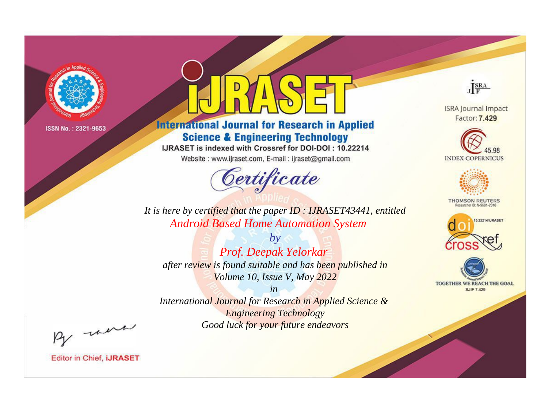

# **International Journal for Research in Applied Science & Engineering Technology**

IJRASET is indexed with Crossref for DOI-DOI: 10.22214

Website: www.ijraset.com, E-mail: ijraset@gmail.com



JERA

**ISRA Journal Impact** Factor: 7.429





**THOMSON REUTERS** 



TOGETHER WE REACH THE GOAL **SJIF 7.429** 

It is here by certified that the paper ID: IJRASET43441, entitled **Android Based Home Automation System** 

 $by$ Prof. Deepak Yelorkar after review is found suitable and has been published in Volume 10, Issue V, May 2022

 $in$ International Journal for Research in Applied Science & **Engineering Technology** Good luck for your future endeavors

By morn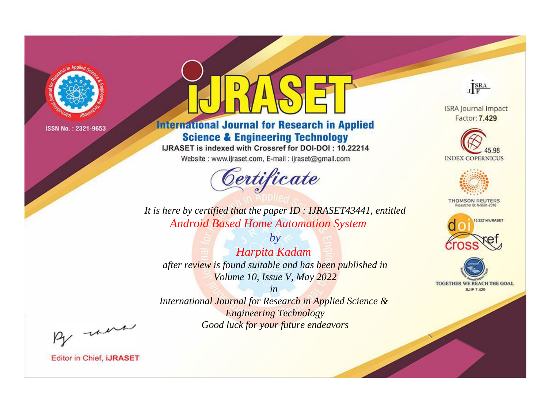

# **International Journal for Research in Applied Science & Engineering Technology**

IJRASET is indexed with Crossref for DOI-DOI: 10.22214

Website: www.ijraset.com, E-mail: ijraset@gmail.com



JERA

**ISRA Journal Impact** Factor: 7.429





**THOMSON REUTERS** 



TOGETHER WE REACH THE GOAL **SJIF 7.429** 

*It is here by certified that the paper ID : IJRASET43441, entitled Android Based Home Automation System*

*by Harpita Kadam after review is found suitable and has been published in Volume 10, Issue V, May 2022*

*in* 

*International Journal for Research in Applied Science & Engineering Technology Good luck for your future endeavors*

By morn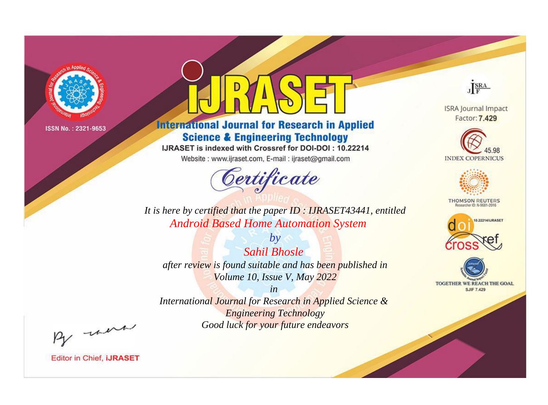

# **International Journal for Research in Applied Science & Engineering Technology**

IJRASET is indexed with Crossref for DOI-DOI: 10.22214

Website: www.ijraset.com, E-mail: ijraset@gmail.com



JERA

**ISRA Journal Impact** Factor: 7.429





**THOMSON REUTERS** 



TOGETHER WE REACH THE GOAL **SJIF 7.429** 

*It is here by certified that the paper ID : IJRASET43441, entitled Android Based Home Automation System*

*by Sahil Bhosle after review is found suitable and has been published in Volume 10, Issue V, May 2022*

*in* 

*International Journal for Research in Applied Science & Engineering Technology Good luck for your future endeavors*

By morn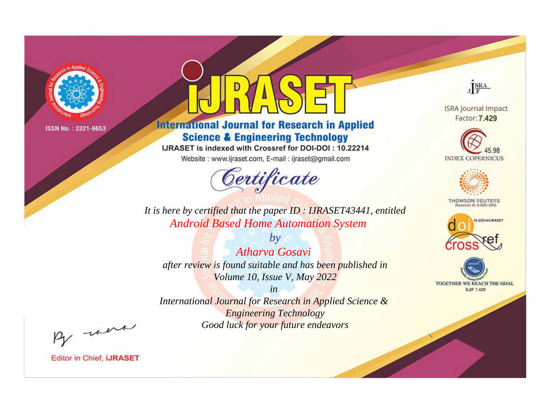

# **International Journal for Research in Applied Science & Engineering Technology**

IJRASET is indexed with Crossref for DOI-DOI: 10.22214

Website: www.ijraset.com, E-mail: ijraset@gmail.com



JERA

**ISRA Journal Impact** Factor: 7.429





**THOMSON REUTERS** 



TOGETHER WE REACH THE GOAL **SJIF 7.429** 

*It is here by certified that the paper ID : IJRASET43441, entitled Android Based Home Automation System*

*by Atharva Gosavi after review is found suitable and has been published in Volume 10, Issue V, May 2022*

*in* 

*International Journal for Research in Applied Science & Engineering Technology Good luck for your future endeavors*

By morn